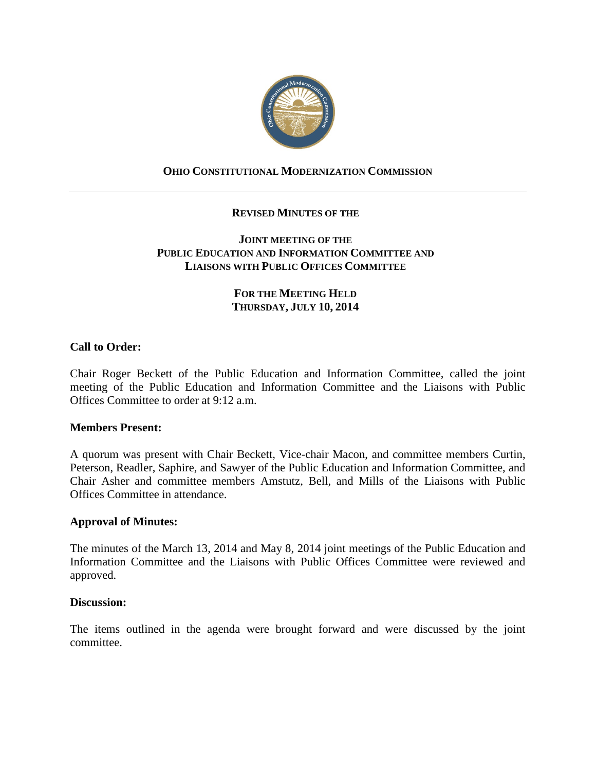

# **OHIO CONSTITUTIONAL MODERNIZATION COMMISSION**

## **REVISED MINUTES OF THE**

## **JOINT MEETING OF THE PUBLIC EDUCATION AND INFORMATION COMMITTEE AND LIAISONS WITH PUBLIC OFFICES COMMITTEE**

## **FOR THE MEETING HELD THURSDAY, JULY 10, 2014**

## **Call to Order:**

Chair Roger Beckett of the Public Education and Information Committee, called the joint meeting of the Public Education and Information Committee and the Liaisons with Public Offices Committee to order at 9:12 a.m.

#### **Members Present:**

A quorum was present with Chair Beckett, Vice-chair Macon, and committee members Curtin, Peterson, Readler, Saphire, and Sawyer of the Public Education and Information Committee, and Chair Asher and committee members Amstutz, Bell, and Mills of the Liaisons with Public Offices Committee in attendance.

#### **Approval of Minutes:**

The minutes of the March 13, 2014 and May 8, 2014 joint meetings of the Public Education and Information Committee and the Liaisons with Public Offices Committee were reviewed and approved.

#### **Discussion:**

The items outlined in the agenda were brought forward and were discussed by the joint committee.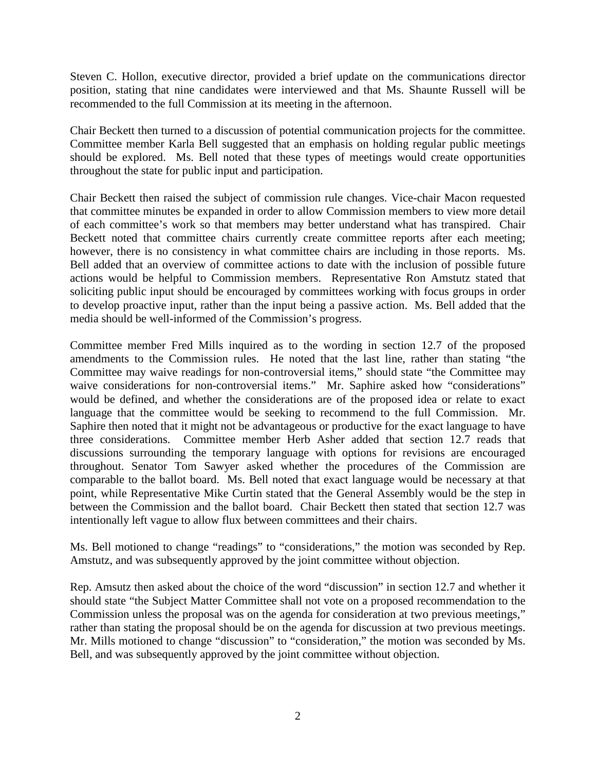Steven C. Hollon, executive director, provided a brief update on the communications director position, stating that nine candidates were interviewed and that Ms. Shaunte Russell will be recommended to the full Commission at its meeting in the afternoon.

Chair Beckett then turned to a discussion of potential communication projects for the committee. Committee member Karla Bell suggested that an emphasis on holding regular public meetings should be explored. Ms. Bell noted that these types of meetings would create opportunities throughout the state for public input and participation.

Chair Beckett then raised the subject of commission rule changes. Vice-chair Macon requested that committee minutes be expanded in order to allow Commission members to view more detail of each committee's work so that members may better understand what has transpired. Chair Beckett noted that committee chairs currently create committee reports after each meeting; however, there is no consistency in what committee chairs are including in those reports. Ms. Bell added that an overview of committee actions to date with the inclusion of possible future actions would be helpful to Commission members. Representative Ron Amstutz stated that soliciting public input should be encouraged by committees working with focus groups in order to develop proactive input, rather than the input being a passive action. Ms. Bell added that the media should be well-informed of the Commission's progress.

Committee member Fred Mills inquired as to the wording in section 12.7 of the proposed amendments to the Commission rules. He noted that the last line, rather than stating "the Committee may waive readings for non-controversial items," should state "the Committee may waive considerations for non-controversial items." Mr. Saphire asked how "considerations" would be defined, and whether the considerations are of the proposed idea or relate to exact language that the committee would be seeking to recommend to the full Commission. Mr. Saphire then noted that it might not be advantageous or productive for the exact language to have three considerations. Committee member Herb Asher added that section 12.7 reads that discussions surrounding the temporary language with options for revisions are encouraged throughout. Senator Tom Sawyer asked whether the procedures of the Commission are comparable to the ballot board. Ms. Bell noted that exact language would be necessary at that point, while Representative Mike Curtin stated that the General Assembly would be the step in between the Commission and the ballot board. Chair Beckett then stated that section 12.7 was intentionally left vague to allow flux between committees and their chairs.

Ms. Bell motioned to change "readings" to "considerations," the motion was seconded by Rep. Amstutz, and was subsequently approved by the joint committee without objection.

Rep. Amsutz then asked about the choice of the word "discussion" in section 12.7 and whether it should state "the Subject Matter Committee shall not vote on a proposed recommendation to the Commission unless the proposal was on the agenda for consideration at two previous meetings," rather than stating the proposal should be on the agenda for discussion at two previous meetings. Mr. Mills motioned to change "discussion" to "consideration," the motion was seconded by Ms. Bell, and was subsequently approved by the joint committee without objection.